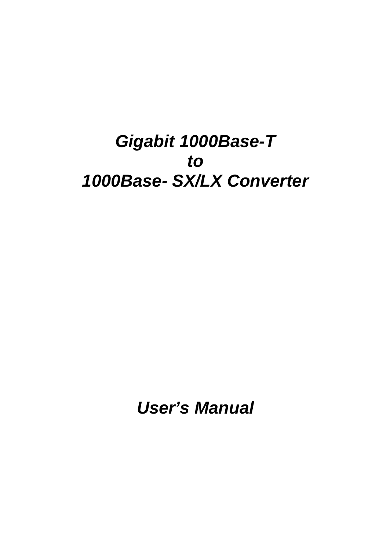# *Gigabit 1000Base-T to 1000Base- SX/LX Converter*

*User's Manual*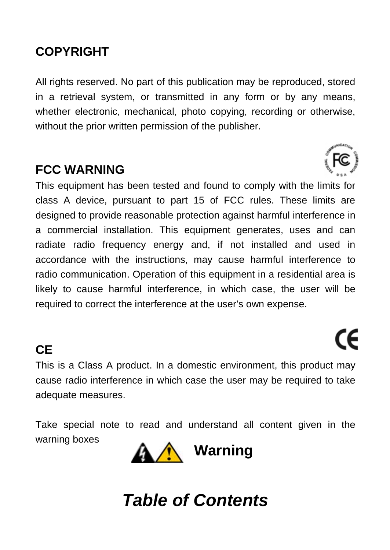#### **COPYRIGHT**

All rights reserved. No part of this publication may be reproduced, stored in a retrieval system, or transmitted in any form or by any means, whether electronic, mechanical, photo copying, recording or otherwise. without the prior written permission of the publisher.

#### **FCC WARNING**

This equipment has been tested and found to comply with the limits for class A device, pursuant to part 15 of FCC rules. These limits are designed to provide reasonable protection against harmful interference in a commercial installation. This equipment generates, uses and can radiate radio frequency energy and, if not installed and used in accordance with the instructions, may cause harmful interference to radio communication. Operation of this equipment in a residential area is likely to cause harmful interference, in which case, the user will be required to correct the interference at the user's own expense.

## **CE**

This is a Class A product. In a domestic environment, this product may cause radio interference in which case the user may be required to take adequate measures.

CE

Take special note to read and understand all content given in the warning boxes



# *Table of Contents*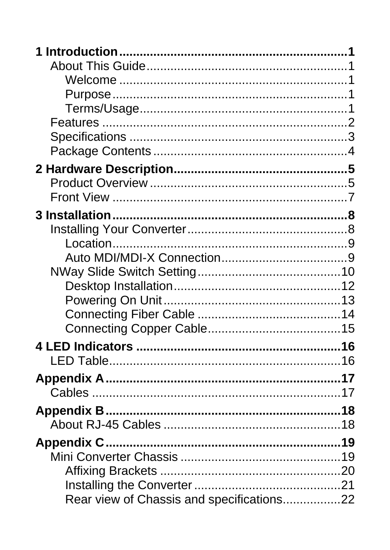| Rear view of Chassis and specifications22 |  |
|-------------------------------------------|--|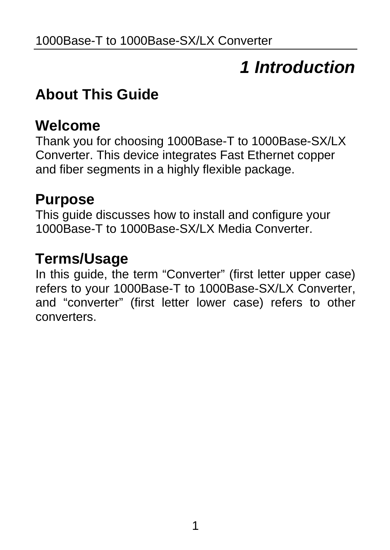# *1 Introduction*

## <span id="page-4-0"></span>**About This Guide**

## **Welcome**

Thank you for choosing 1000Base-T to 1000Base-SX/LX Converter. This device integrates Fast Ethernet copper and fiber segments in a highly flexible package.

### **Purpose**

This guide discusses how to install and configure your 1000Base-T to 1000Base-SX/LX Media Converter.

### **Terms/Usage**

In this guide, the term "Converter" (first letter upper case) refers to your 1000Base-T to 1000Base-SX/LX Converter, and "converter" (first letter lower case) refers to other converters.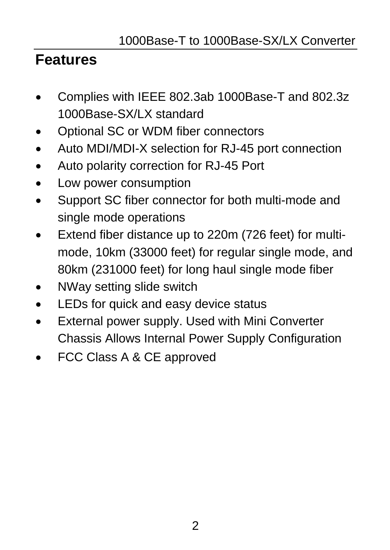## <span id="page-5-0"></span>**Features**

- Complies with IEEE 802.3ab 1000Base-T and 802.3z 1000Base-SX/LX standard
- Optional SC or WDM fiber connectors
- Auto MDI/MDI-X selection for RJ-45 port connection
- Auto polarity correction for RJ-45 Port
- Low power consumption
- Support SC fiber connector for both multi-mode and single mode operations
- Extend fiber distance up to 220m (726 feet) for multimode, 10km (33000 feet) for regular single mode, and 80km (231000 feet) for long haul single mode fiber
- NWay setting slide switch
- LEDs for quick and easy device status
- External power supply. Used with Mini Converter Chassis Allows Internal Power Supply Configuration
- FCC Class A & CE approved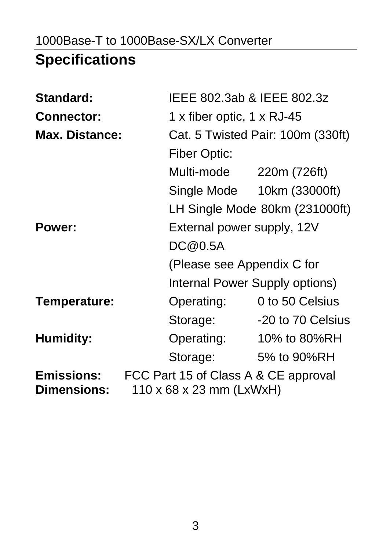## <span id="page-6-0"></span>1000Base-T to 1000Base-SX/LX Converter

# **Specifications**

| Standard:                               |                                                                  | IEEE 802.3ab & IEEE 802.3z        |  |  |
|-----------------------------------------|------------------------------------------------------------------|-----------------------------------|--|--|
| Connector:                              |                                                                  | 1 x fiber optic, 1 x RJ-45        |  |  |
| Max. Distance:                          |                                                                  | Cat. 5 Twisted Pair: 100m (330ft) |  |  |
|                                         | Fiber Optic:                                                     |                                   |  |  |
|                                         | Multi-mode                                                       | 220m (726ft)                      |  |  |
|                                         |                                                                  | Single Mode 10km (33000ft)        |  |  |
|                                         |                                                                  | LH Single Mode 80km (231000ft)    |  |  |
| Power:                                  |                                                                  | External power supply, 12V        |  |  |
|                                         | DC@0.5A                                                          |                                   |  |  |
|                                         |                                                                  | (Please see Appendix C for        |  |  |
|                                         |                                                                  | Internal Power Supply options)    |  |  |
| Temperature:                            | Operating:                                                       | 0 to 50 Celsius                   |  |  |
|                                         | Storage:                                                         | -20 to 70 Celsius                 |  |  |
| Humidity:                               | Operating:                                                       | 10% to 80%RH                      |  |  |
|                                         | Storage:                                                         | 5% to 90%RH                       |  |  |
| <b>Emissions:</b><br><b>Dimensions:</b> | FCC Part 15 of Class A & CE approval<br>110 x 68 x 23 mm (LxWxH) |                                   |  |  |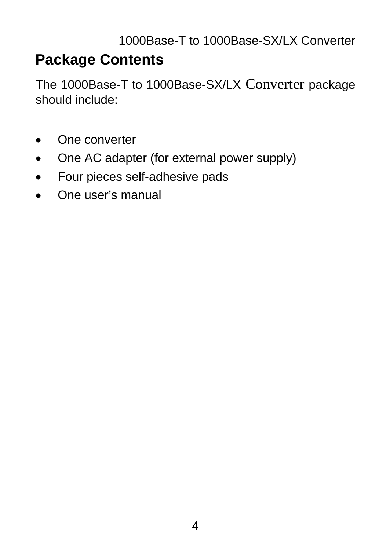## <span id="page-7-0"></span>**Package Contents**

The 1000Base-T to 1000Base-SX/LX Converter package should include:

- One converter
- One AC adapter (for external power supply)
- Four pieces self-adhesive pads
- One user's manual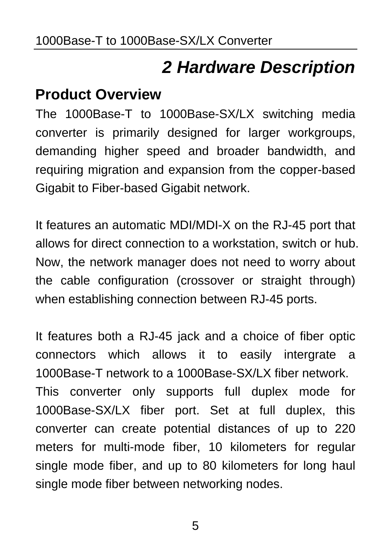# *2 Hardware Description*

## <span id="page-8-0"></span>**Product Overview**

The 1000Base-T to 1000Base-SX/LX switching media converter is primarily designed for larger workgroups, demanding higher speed and broader bandwidth, and requiring migration and expansion from the copper-based Gigabit to Fiber-based Gigabit network.

It features an automatic MDI/MDI-X on the RJ-45 port that allows for direct connection to a workstation, switch or hub. Now, the network manager does not need to worry about the cable configuration (crossover or straight through) when establishing connection between RJ-45 ports.

It features both a RJ-45 jack and a choice of fiber optic connectors which allows it to easily intergrate a 1000Base-T network to a 1000Base-SX/LX fiber network. This converter only supports full duplex mode for 1000Base-SX/LX fiber port. Set at full duplex, this converter can create potential distances of up to 220 meters for multi-mode fiber, 10 kilometers for regular single mode fiber, and up to 80 kilometers for long haul single mode fiber between networking nodes.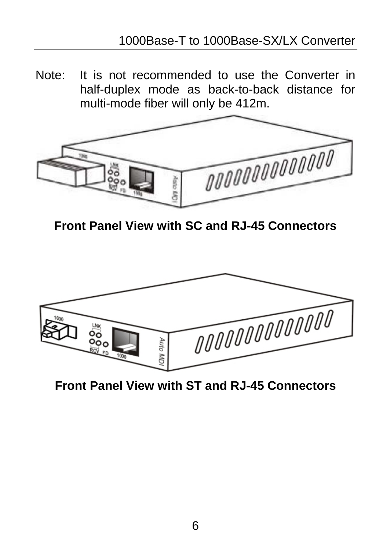Note: It is not recommended to use the Converter in half-duplex mode as back-to-back distance for multi-mode fiber will only be 412m.



**Front Panel View with SC and RJ-45 Connectors** 



**Front Panel View with ST and RJ-45 Connectors**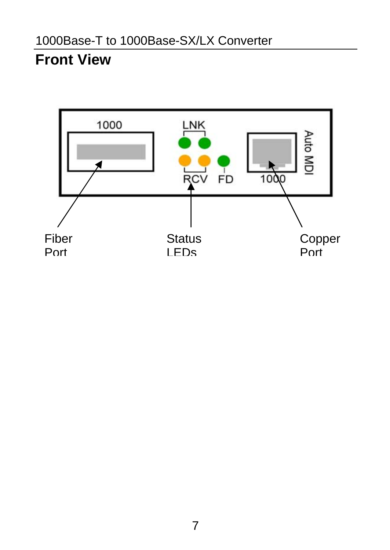## <span id="page-10-0"></span>**Front View**

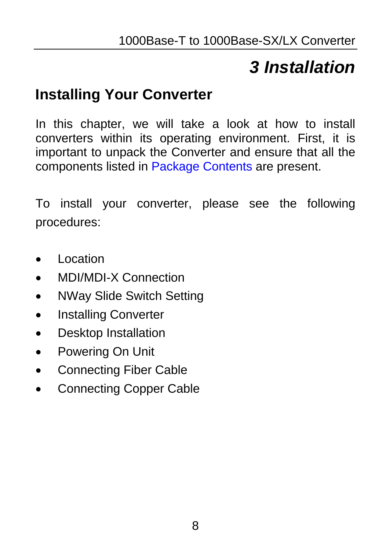# *3 Installation*

## <span id="page-11-0"></span>**Installing Your Converter**

In this chapter, we will take a look at how to install converters within its operating environment. First, it is important to unpack the Converter and ensure that all the components listed in Package Contents are present.

To install your converter, please see the following procedures:

- Location
- MDI/MDI-X Connection
- NWay Slide Switch Setting
- Installing Converter
- Desktop Installation
- Powering On Unit
- Connecting Fiber Cable
- Connecting Copper Cable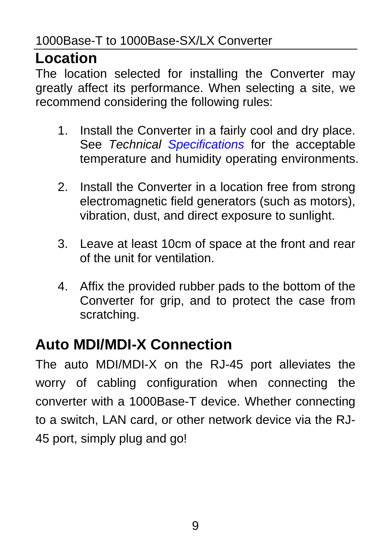## <span id="page-12-0"></span>**Location**

The location selected for installing the Converter may greatly affect its performance. When selecting a site, we recommend considering the following rules:

- 1. Install the Converter in a fairly cool and dry place. See *Technical Specifications* for the acceptable temperature and humidity operating environments.
- 2. Install the Converter in a location free from strong electromagnetic field generators (such as motors), vibration, dust, and direct exposure to sunlight.
- 3. Leave at least 10cm of space at the front and rear of the unit for ventilation.
- 4. Affix the provided rubber pads to the bottom of the Converter for grip, and to protect the case from scratching.

# **Auto MDI/MDI-X Connection**

The auto MDI/MDI-X on the RJ-45 port alleviates the worry of cabling configuration when connecting the converter with a 1000Base-T device. Whether connecting to a switch, LAN card, or other network device via the RJ-45 port, simply plug and go!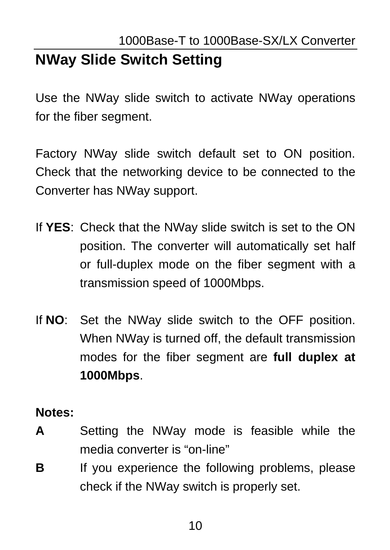# <span id="page-13-0"></span>**NWay Slide Switch Setting**

Use the NWay slide switch to activate NWay operations for the fiber segment.

Factory NWay slide switch default set to ON position. Check that the networking device to be connected to the Converter has NWay support.

- If **YES**: Check that the NWay slide switch is set to the ON position. The converter will automatically set half or full-duplex mode on the fiber segment with a transmission speed of 1000Mbps.
- If **NO**: Set the NWay slide switch to the OFF position. When NWay is turned off, the default transmission modes for the fiber segment are **full duplex at 1000Mbps**.

#### **Notes:**

- **A** Setting the NWay mode is feasible while the media converter is "on-line"
- **B** If you experience the following problems, please check if the NWay switch is properly set.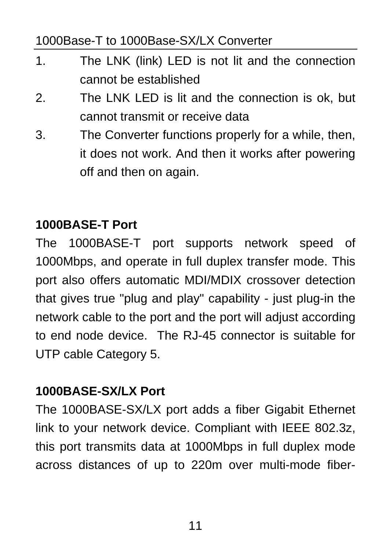#### 1000Base-T to 1000Base-SX/LX Converter

- 1. The LNK (link) LED is not lit and the connection cannot be established
- 2. The LNK LED is lit and the connection is ok, but cannot transmit or receive data
- 3. The Converter functions properly for a while, then, it does not work. And then it works after powering off and then on again.

#### **1000BASE-T Port**

The 1000BASE-T port supports network speed of 1000Mbps, and operate in full duplex transfer mode. This port also offers automatic MDI/MDIX crossover detection that gives true "plug and play" capability - just plug-in the network cable to the port and the port will adjust according to end node device. The RJ-45 connector is suitable for UTP cable Category 5.

#### **1000BASE-SX/LX Port**

The 1000BASE-SX/LX port adds a fiber Gigabit Ethernet link to your network device. Compliant with IEEE 802.3z, this port transmits data at 1000Mbps in full duplex mode across distances of up to 220m over multi-mode fiber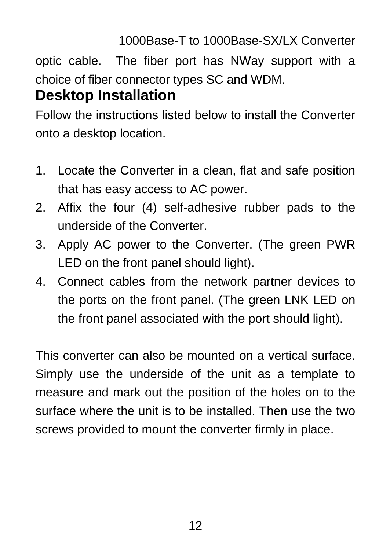<span id="page-15-0"></span>optic cable. The fiber port has NWay support with a choice of fiber connector types SC and WDM. **Desktop Installation** 

Follow the instructions listed below to install the Converter onto a desktop location.

- 1. Locate the Converter in a clean, flat and safe position that has easy access to AC power.
- 2. Affix the four (4) self-adhesive rubber pads to the underside of the Converter.
- 3. Apply AC power to the Converter. (The green PWR LED on the front panel should light).
- 4. Connect cables from the network partner devices to the ports on the front panel. (The green LNK LED on the front panel associated with the port should light).

This converter can also be mounted on a vertical surface. Simply use the underside of the unit as a template to measure and mark out the position of the holes on to the surface where the unit is to be installed. Then use the two screws provided to mount the converter firmly in place.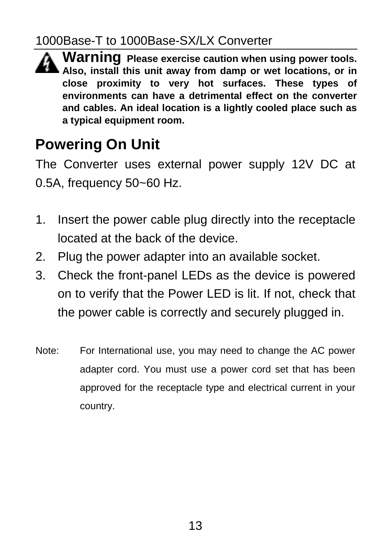### <span id="page-16-0"></span>1000Base-T to 1000Base-SX/LX Converter

**Warning Please exercise caution when using power tools. Also, install this unit away from damp or wet locations, or in close proximity to very hot surfaces. These types of environments can have a detrimental effect on the converter and cables. An ideal location is a lightly cooled place such as a typical equipment room.**

# **Powering On Unit**

The Converter uses external power supply 12V DC at 0.5A, frequency 50~60 Hz.

- 1. Insert the power cable plug directly into the receptacle located at the back of the device.
- 2. Plug the power adapter into an available socket.
- 3. Check the front-panel LEDs as the device is powered on to verify that the Power LED is lit. If not, check that the power cable is correctly and securely plugged in.
- Note: For International use, you may need to change the AC power adapter cord. You must use a power cord set that has been approved for the receptacle type and electrical current in your country.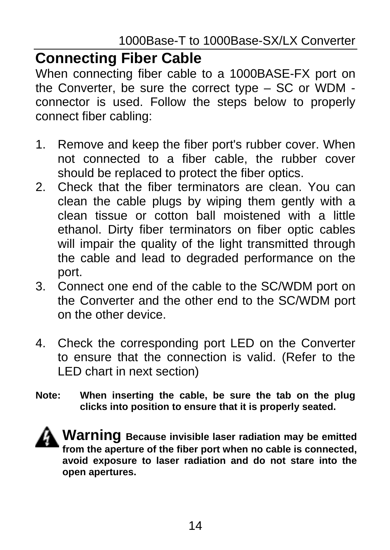### <span id="page-17-0"></span>**Connecting Fiber Cable**

When connecting fiber cable to a 1000BASE-FX port on the Converter, be sure the correct type – SC or WDM connector is used. Follow the steps below to properly connect fiber cabling:

- 1. Remove and keep the fiber port's rubber cover. When not connected to a fiber cable, the rubber cover should be replaced to protect the fiber optics.
- 2. Check that the fiber terminators are clean. You can clean the cable plugs by wiping them gently with a clean tissue or cotton ball moistened with a little ethanol. Dirty fiber terminators on fiber optic cables will impair the quality of the light transmitted through the cable and lead to degraded performance on the port.
- 3. Connect one end of the cable to the SC/WDM port on the Converter and the other end to the SC/WDM port on the other device.
- 4. Check the corresponding port LED on the Converter to ensure that the connection is valid. (Refer to the LED chart in next section)
- **Note: When inserting the cable, be sure the tab on the plug clicks into position to ensure that it is properly seated.**

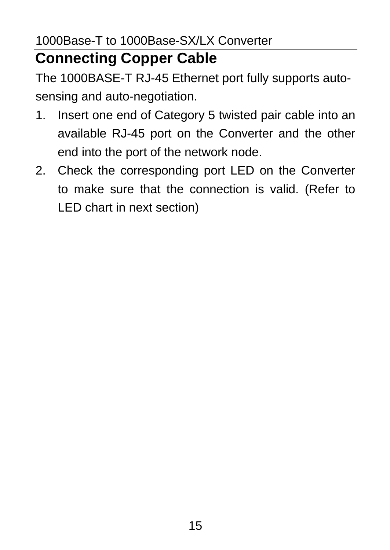# <span id="page-18-0"></span>**Connecting Copper Cable**

The 1000BASE-T RJ-45 Ethernet port fully supports autosensing and auto-negotiation.

- 1. Insert one end of Category 5 twisted pair cable into an available RJ-45 port on the Converter and the other end into the port of the network node.
- 2. Check the corresponding port LED on the Converter to make sure that the connection is valid. (Refer to LED chart in next section)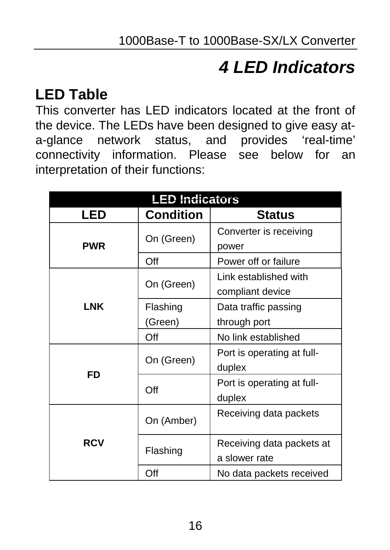# *4 LED Indicators*

# <span id="page-19-0"></span>**LED Table**

This converter has LED indicators located at the front of the device. The LEDs have been designed to give easy ata-glance network status, and provides 'real-time' connectivity information. Please see below for an interpretation of their functions:

| <b>LED Indicators</b> |            |                            |  |
|-----------------------|------------|----------------------------|--|
| LED                   | Condition  | <b>Status</b>              |  |
|                       | On (Green) | Converter is receiving     |  |
| <b>PWR</b>            |            | power                      |  |
|                       | Off        | Power off or failure       |  |
|                       |            | I ink established with     |  |
|                       | On (Green) | compliant device           |  |
| LNK                   | Flashing   | Data traffic passing       |  |
|                       | (Green)    | through port               |  |
|                       | Off        | No link established        |  |
| FD                    |            | Port is operating at full- |  |
|                       | On (Green) | duplex                     |  |
|                       | Off        | Port is operating at full- |  |
|                       |            | duplex                     |  |
| <b>RCV</b>            | On (Amber) | Receiving data packets     |  |
|                       |            |                            |  |
|                       | Flashing   | Receiving data packets at  |  |
|                       |            | a slower rate              |  |
|                       | Off        | No data packets received   |  |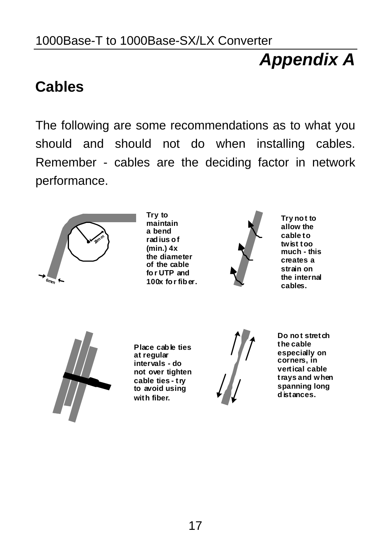#### <span id="page-20-0"></span>1000Base-T to 1000Base-SX/LX Converter

# *Appendix A*

## **Cables**

The following are some recommendations as to what you should and should not do when installing cables. Remember - cables are the deciding factor in network performance.



**Try to maintain a bend rad ius of (min.) 4x the diameter of the cable fo r UTP and 100x for fiber.**



**Try not to allow the cable to twist too much - this creates a strain on the internal cables.**



**Place cable ties at regular intervals - do not over tighten cable ties - try to avoid using with fiber.**



Do not stretch **the cable especially on corners, in vertical cable trays and when spanning long d istances.**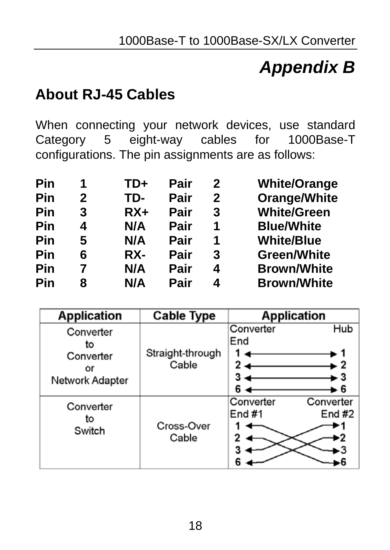# *Appendix B*

## <span id="page-21-0"></span>**About RJ-45 Cables**

When connecting your network devices, use standard Category 5 eight-way cables for 1000Base-T configurations. The pin assignments are as follows:

| Pin | 1 | TD+   | Pair | 2 | <b>White/Orange</b> |
|-----|---|-------|------|---|---------------------|
| Pin | 2 | TD-   | Pair | 2 | Orange/White        |
| Pin | 3 | $RX+$ | Pair | 3 | <b>White/Green</b>  |
| Pin | 4 | N/A   | Pair | 1 | <b>Blue/White</b>   |
| Pin | 5 | N/A   | Pair | 1 | <b>White/Blue</b>   |
| Pin | 6 | RX-   | Pair | 3 | <b>Green/White</b>  |
| Pin |   | N/A   | Pair | 4 | <b>Brown/White</b>  |
| Pin | 8 | N/A   | Pair | 4 | <b>Brown/White</b>  |

| <b>Application</b>                                    | <b>Cable Type</b>         | <b>Application</b>                                   |
|-------------------------------------------------------|---------------------------|------------------------------------------------------|
| Converter<br>to<br>Converter<br>or<br>Network Adapter | Straight-through<br>Cable | Converter<br>Hub<br>End<br>2<br>з<br>► 3<br>6<br>- 6 |
| Converter<br>to<br>Switch                             | Cross-Over<br>Cable       | Converter<br>Converter<br>End $#1$<br>End $#2$       |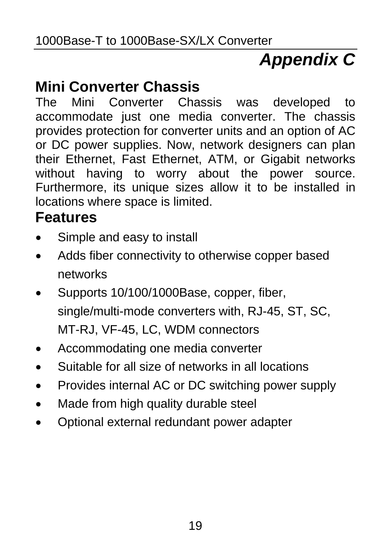# *Appendix C*

# <span id="page-22-0"></span>**Mini Converter Chassis**

The Mini Converter Chassis was developed to accommodate just one media converter. The chassis provides protection for converter units and an option of AC or DC power supplies. Now, network designers can plan their Ethernet, Fast Ethernet, ATM, or Gigabit networks without having to worry about the power source. Furthermore, its unique sizes allow it to be installed in locations where space is limited.

### **Features**

- Simple and easy to install
- Adds fiber connectivity to otherwise copper based networks
- Supports 10/100/1000Base, copper, fiber, single/multi-mode converters with, RJ-45, ST, SC, MT-RJ, VF-45, LC, WDM connectors
- Accommodating one media converter
- Suitable for all size of networks in all locations
- Provides internal AC or DC switching power supply
- Made from high quality durable steel
- Optional external redundant power adapter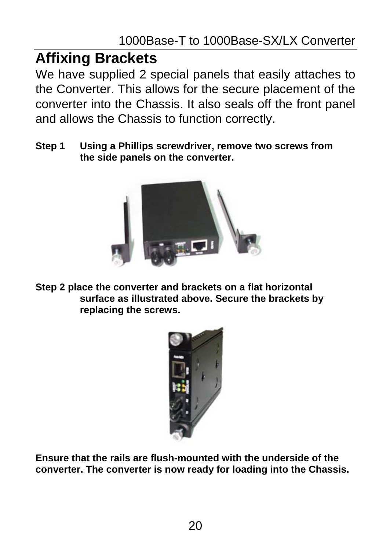# <span id="page-23-0"></span>**Affixing Brackets**

We have supplied 2 special panels that easily attaches to the Converter. This allows for the secure placement of the converter into the Chassis. It also seals off the front panel and allows the Chassis to function correctly.

**Step 1 Using a Phillips screwdriver, remove two screws from the side panels on the converter.**



**Step 2 place the converter and brackets on a flat horizontal surface as illustrated above. Secure the brackets by replacing the screws.**



**Ensure that the rails are flush-mounted with the underside of the converter. The converter is now ready for loading into the Chassis.**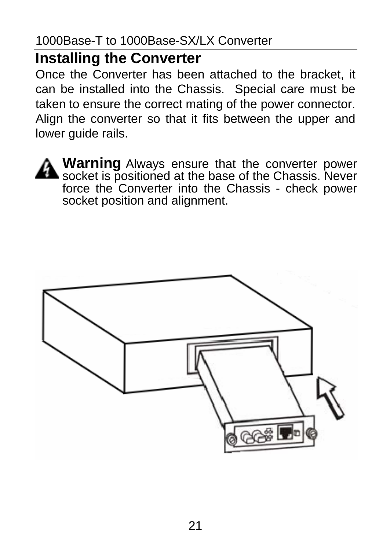## <span id="page-24-0"></span>**Installing the Converter**

Once the Converter has been attached to the bracket, it can be installed into the Chassis. Special care must be taken to ensure the correct mating of the power connector. Align the converter so that it fits between the upper and lower guide rails.



**Warning** Always ensure that the converter power socket is positioned at the base of the Chassis. Never force the Converter into the Chassis - check power socket position and alignment.

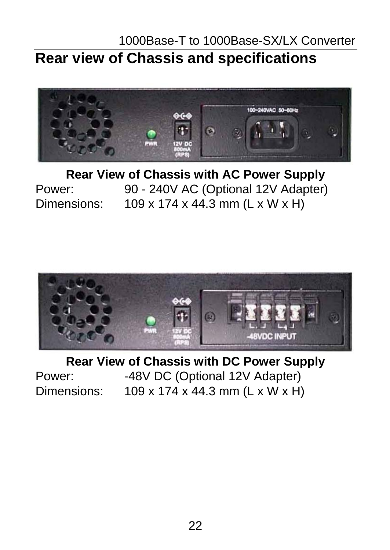### <span id="page-25-0"></span>1000Base-T to 1000Base-SX/LX Converter **Rear view of Chassis and specifications**



**Rear View of Chassis with AC Power Supply** Power: 90 - 240V AC (Optional 12V Adapter) Dimensions: 109 x 174 x 44.3 mm (L x W x H)



**Rear View of Chassis with DC Power Supply** Power: -48V DC (Optional 12V Adapter) Dimensions: 109 x 174 x 44.3 mm (L x W x H)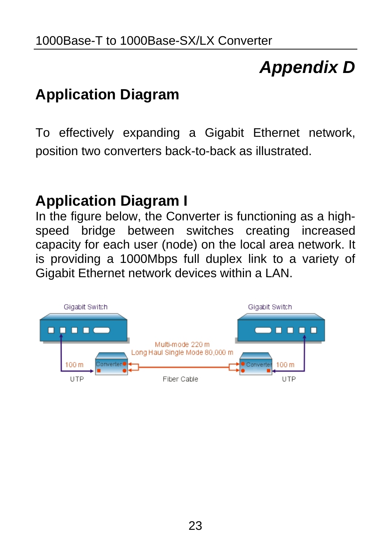# *Appendix D*

# <span id="page-26-0"></span>**Application Diagram**

To effectively expanding a Gigabit Ethernet network, position two converters back-to-back as illustrated.

## **Application Diagram I**

In the figure below, the Converter is functioning as a highspeed bridge between switches creating increased capacity for each user (node) on the local area network. It is providing a 1000Mbps full duplex link to a variety of Gigabit Ethernet network devices within a LAN.